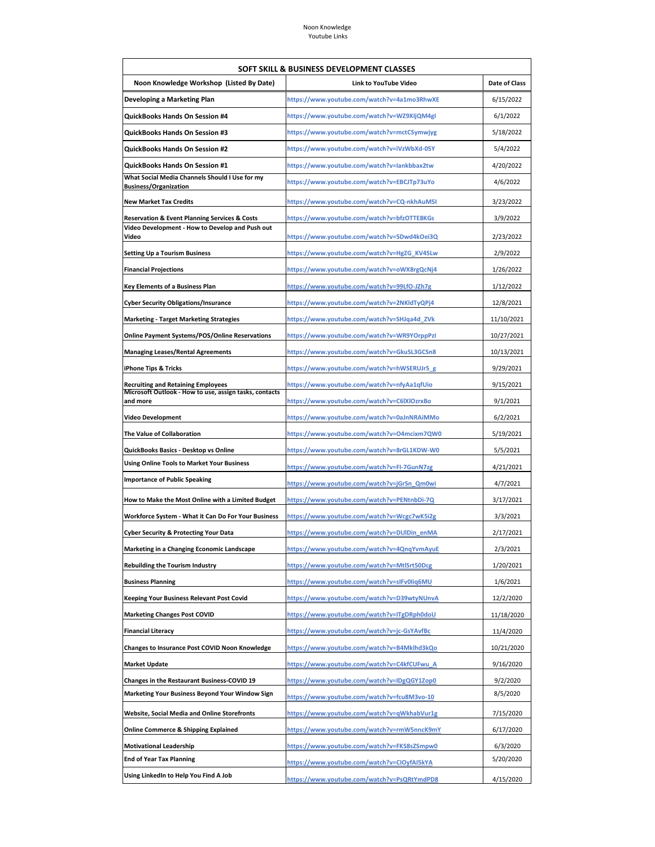| SOFT SKILL & BUSINESS DEVELOPMENT CLASSES                                      |                                             |                      |  |  |
|--------------------------------------------------------------------------------|---------------------------------------------|----------------------|--|--|
| Noon Knowledge Workshop (Listed By Date)                                       | <b>Link to YouTube Video</b>                | <b>Date of Class</b> |  |  |
| Developing a Marketing Plan                                                    | https://www.youtube.com/watch?v=4a1mo3RhwXE | 6/15/2022            |  |  |
| <b>QuickBooks Hands On Session #4</b>                                          | https://www.youtube.com/watch?v=WZ9XIjQM4gI | 6/1/2022             |  |  |
| <b>QuickBooks Hands On Session #3</b>                                          | https://www.youtube.com/watch?v=mctCSymwjyg | 5/18/2022            |  |  |
| QuickBooks Hands On Session #2                                                 | https://www.youtube.com/watch?v=iVzWbXd-05Y | 5/4/2022             |  |  |
| QuickBooks Hands On Session #1                                                 | https://www.youtube.com/watch?v=lankbbax2tw | 4/20/2022            |  |  |
| What Social Media Channels Should I Use for my<br><b>Business/Organization</b> | https://www.youtube.com/watch?v=EBCJTp73uYo | 4/6/2022             |  |  |
| <b>New Market Tax Credits</b>                                                  | https://www.youtube.com/watch?v=CQ-nkhAuM5I | 3/23/2022            |  |  |
| <b>Reservation &amp; Event Planning Services &amp; Costs</b>                   | https://www.youtube.com/watch?v=bfzOTTE8KGs | 3/9/2022             |  |  |
| Video Development - How to Develop and Push out<br>Video                       | https://www.youtube.com/watch?v=5Dwd4kOei3Q | 2/23/2022            |  |  |
| <b>Setting Up a Tourism Business</b>                                           | https://www.youtube.com/watch?v=HgZG_KV4SLw | 2/9/2022             |  |  |
| <b>Financial Projections</b>                                                   | https://www.youtube.com/watch?v=oWX8rgQcNj4 | 1/26/2022            |  |  |
| <b>Key Elements of a Business Plan</b>                                         | https://www.youtube.com/watch?v=99LfO-JZh7g | 1/12/2022            |  |  |
| <b>Cyber Security Obligations/Insurance</b>                                    | https://www.youtube.com/watch?v=2NKldTyQPj4 | 12/8/2021            |  |  |
| <b>Marketing - Target Marketing Strategies</b>                                 | https://www.youtube.com/watch?v=SHJqa4d ZVk | 11/10/2021           |  |  |
| <b>Online Payment Systems/POS/Online Reservations</b>                          | https://www.youtube.com/watch?v=WR9YOrppPzI | 10/27/2021           |  |  |
| <b>Managing Leases/Rental Agreements</b>                                       | https://www.youtube.com/watch?v=GkuSL3GCSn8 | 10/13/2021           |  |  |
| iPhone Tips & Tricks                                                           | https://www.youtube.com/watch?v=hWSERUJr5_g | 9/29/2021            |  |  |
| <b>Recruiting and Retaining Employees</b>                                      | https://www.youtube.com/watch?v=nfyAa1qfUio | 9/15/2021            |  |  |
| Microsoft Outlook - How to use, assign tasks, contacts<br>and more             | https://www.youtube.com/watch?v=C6IXIOzrxBo | 9/1/2021             |  |  |
| <b>Video Development</b>                                                       | https://www.youtube.com/watch?v=0aJnNRAiMMo | 6/2/2021             |  |  |
| The Value of Collaboration                                                     | https://www.youtube.com/watch?v=O4mcixm7QW0 | 5/19/2021            |  |  |
| QuickBooks Basics - Desktop vs Online                                          | https://www.youtube.com/watch?v=8rGL1KDW-W0 | 5/5/2021             |  |  |
| <b>Using Online Tools to Market Your Business</b>                              | https://www.youtube.com/watch?v=FI-7GunN7zg | 4/21/2021            |  |  |
| <b>Importance of Public Speaking</b>                                           | https://www.youtube.com/watch?v=jGrSn_Qm0wi | 4/7/2021             |  |  |
| How to Make the Most Online with a Limited Budget                              | https://www.youtube.com/watch?v=PENtnbDi-7Q | 3/17/2021            |  |  |
| Workforce System - What it Can Do For Your Business                            | https://www.youtube.com/watch?v=Wcgc7wK5i2g | 3/3/2021             |  |  |
| <b>Cyber Security &amp; Protecting Your Data</b>                               | https://www.youtube.com/watch?v=DUlDin_enMA | 2/17/2021            |  |  |
| Marketing in a Changing Economic Landscape                                     | https://www.youtube.com/watch?v=4QngYvmAyuE | 2/3/2021             |  |  |
| <b>Rebuilding the Tourism Industry</b>                                         | https://www.youtube.com/watch?v=MtlSrt50Dcg | 1/20/2021            |  |  |
| <b>Business Planning</b>                                                       | https://www.youtube.com/watch?v=sIFv0Iiq6MU | 1/6/2021             |  |  |
| Keeping Your Business Relevant Post Covid                                      | https://www.youtube.com/watch?v=D39wtyNUnvA | 12/2/2020            |  |  |
| <b>Marketing Changes Post COVID</b>                                            | https://www.youtube.com/watch?v=ITgDRph0doU | 11/18/2020           |  |  |
| <b>Financial Literacy</b>                                                      | https://www.youtube.com/watch?v=jc-GsYAvfBc | 11/4/2020            |  |  |
| Changes to Insurance Post COVID Noon Knowledge                                 | https://www.youtube.com/watch?v=B4Mklhd3kQo | 10/21/2020           |  |  |
| <b>Market Update</b>                                                           | https://www.youtube.com/watch?v=C4kfCUFwu A | 9/16/2020            |  |  |
| Changes in the Restaurant Business-COVID 19                                    | https://www.youtube.com/watch?v=IDgQGY1Zop0 | 9/2/2020             |  |  |
| Marketing Your Business Beyond Your Window Sign                                | https://www.youtube.com/watch?v=fcu8M3vo-10 | 8/5/2020             |  |  |
| Website, Social Media and Online Storefronts                                   | https://www.youtube.com/watch?v=qWkhabVur1g | 7/15/2020            |  |  |
| <b>Online Commerce &amp; Shipping Explained</b>                                | https://www.youtube.com/watch?v=rmW5nncK9mY | 6/17/2020            |  |  |
| <b>Motivational Leadership</b>                                                 | https://www.youtube.com/watch?v=FKS8sZSmpw0 | 6/3/2020             |  |  |
| <b>End of Year Tax Planning</b>                                                | https://www.youtube.com/watch?v=CIOyfAI5kYA | 5/20/2020            |  |  |
| Using LinkedIn to Help You Find A Job                                          | https://www.youtube.com/watch?v=PsQRtYmdPD8 | 4/15/2020            |  |  |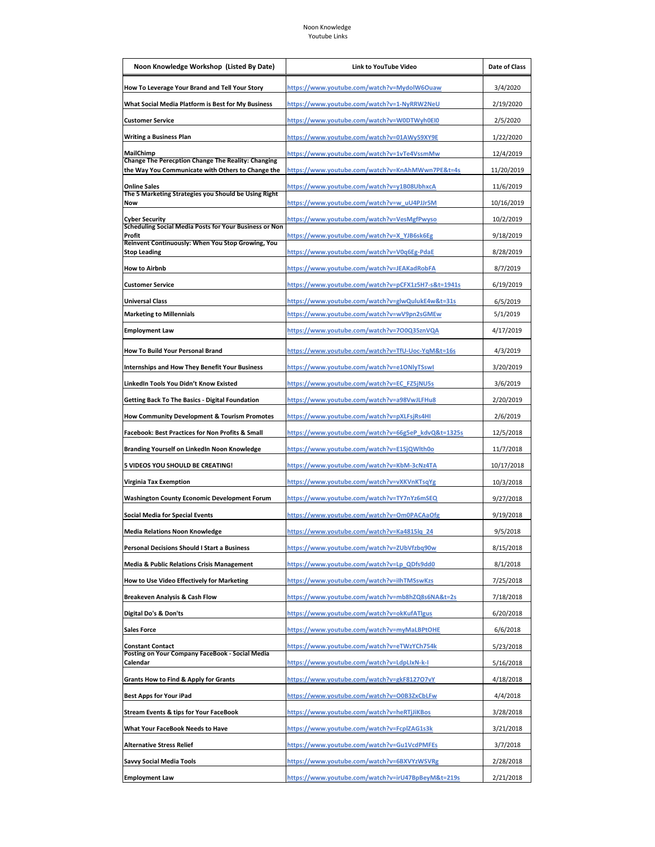| Noon Knowledge Workshop (Listed By Date)                                                                       | <b>Link to YouTube Video</b>                        | Date of Class |
|----------------------------------------------------------------------------------------------------------------|-----------------------------------------------------|---------------|
| How To Leverage Your Brand and Tell Your Story                                                                 | https://www.youtube.com/watch?v=MydolW6Ouaw         | 3/4/2020      |
| What Social Media Platform is Best for My Business                                                             | https://www.youtube.com/watch?v=1-NyRRW2NeU         | 2/19/2020     |
| <b>Customer Service</b>                                                                                        | https://www.youtube.com/watch?v=W0DTWyh0EI0         | 2/5/2020      |
| <b>Writing a Business Plan</b>                                                                                 | <u> https://www.youtube.com/watch?v=01AWy59XY9E</u> | 1/22/2020     |
| <b>MailChimp</b>                                                                                               | https://www.youtube.com/watch?v=1vTe4VssmMw         | 12/4/2019     |
| <b>Change The Perecption Change The Reality: Changing</b><br>the Way You Communicate with Others to Change the | https://www.youtube.com/watch?v=KnAhMWwn7PE&t=4s    | 11/20/2019    |
| <b>Online Sales</b>                                                                                            | <u> https://www.youtube.com/watch?v=y1B08UbhxcA</u> | 11/6/2019     |
| The 5 Marketing Strategies you Should be Using Right<br>Now                                                    | https://www.youtube.com/watch?v=w_uU4PJJr5M         | 10/16/2019    |
| <b>Cyber Security</b>                                                                                          | https://www.youtube.com/watch?v=VesMgfPwyso         | 10/2/2019     |
| Scheduling Social Media Posts for Your Business or Non<br>Profit                                               | https://www.youtube.com/watch?v=X_YJB6sk6Eg         | 9/18/2019     |
| Reinvent Continuously: When You Stop Growing, You<br><b>Stop Leading</b>                                       | https://www.youtube.com/watch?v=V0q6Eg-PdaE         | 8/28/2019     |
| <b>How to Airbnb</b>                                                                                           | https://www.youtube.com/watch?v=JEAKadRobFA         | 8/7/2019      |
| <b>Customer Service</b>                                                                                        | https://www.youtube.com/watch?v=pCFX1z5H7-s&t=1941s | 6/19/2019     |
| <b>Universal Class</b>                                                                                         | https://www.youtube.com/watch?v=glwQulukE4w&t=31s   | 6/5/2019      |
| <b>Marketing to Millennials</b>                                                                                | https://www.youtube.com/watch?v=wV9pn2sGMEw         | 5/1/2019      |
| <b>Employment Law</b>                                                                                          | https://www.youtube.com/watch?v=700Q35znVQA         | 4/17/2019     |
| How To Build Your Personal Brand                                                                               | https://www.youtube.com/watch?v=TfU-Uoc-YqM&t=16s   | 4/3/2019      |
| <b>Internships and How They Benefit Your Business</b>                                                          | https://www.youtube.com/watch?v=e1ONlyTSswl         | 3/20/2019     |
| LinkedIn Tools You Didn't Know Existed                                                                         | https://www.youtube.com/watch?v=EC_FZ5jNU5s         | 3/6/2019      |
| <b>Getting Back To The Basics - Digital Foundation</b>                                                         | https://www.youtube.com/watch?v=a98VwJLFHu8         | 2/20/2019     |
| <b>How Community Development &amp; Tourism Promotes</b>                                                        | https://www.youtube.com/watch?v=pXLFsjRs4HI         | 2/6/2019      |
| <b>Facebook: Best Practices for Non Profits &amp; Small</b>                                                    | https://www.youtube.com/watch?v=66g5eP_kdvQ&t=1325s | 12/5/2018     |
| Branding Yourself on LinkedIn Noon Knowledge                                                                   | <u> https://www.youtube.com/watch?v=E1SjQWlth0o</u> | 11/7/2018     |
| 5 VIDEOS YOU SHOULD BE CREATING!                                                                               | https://www.youtube.com/watch?v=KbM-3cNz4TA         | 10/17/2018    |
| Virginia Tax Exemption                                                                                         | <u>https://www.youtube.com/watch?v=vXKVnKTsqYg</u>  | 10/3/2018     |
| <b>Washington County Economic Development Forum</b>                                                            | https://www.youtube.com/watch?v=TY7nYz6mSEQ         | 9/27/2018     |
| <b>Social Media for Special Events</b>                                                                         | https://www.youtube.com/watch?v=Om0PACAaOfg         | 9/19/2018     |
| <b>Media Relations Noon Knowledge</b>                                                                          | https://www.youtube.com/watch?v=Ka4815lq 24         | 9/5/2018      |
| Personal Decisions Should I Start a Business                                                                   | https://www.youtube.com/watch?v=ZUbVfzbq90w         | 8/15/2018     |
| <b>Media &amp; Public Relations Crisis Management</b>                                                          | https://www.youtube.com/watch?v=Lp_QDfs9dd0         | 8/1/2018      |
| How to Use Video Effectively for Marketing                                                                     | https://www.youtube.com/watch?v=ilhTMSswKzs         | 7/25/2018     |
| <b>Breakeven Analysis &amp; Cash Flow</b>                                                                      | https://www.youtube.com/watch?v=mb8hZQ8s6NA&t=2s    | 7/18/2018     |
| Digital Do's & Don'ts                                                                                          | https://www.youtube.com/watch?v=okKufATlgus         | 6/20/2018     |
| <b>Sales Force</b>                                                                                             | https://www.youtube.com/watch?v=myMaLBPtOHE         | 6/6/2018      |
| <b>Constant Contact</b>                                                                                        | https://www.youtube.com/watch?v=eTWzYCh754k         | 5/23/2018     |
| Posting on Your Company FaceBook - Social Media<br>Calendar                                                    | https://www.youtube.com/watch?v=LdpLIxN-k-I         | 5/16/2018     |
| <b>Grants How to Find &amp; Apply for Grants</b>                                                               | https://www.youtube.com/watch?v=gkF8127O7vY         | 4/18/2018     |
| <b>Best Apps for Your iPad</b>                                                                                 | https://www.youtube.com/watch?v=O0B3ZxCbLFw         | 4/4/2018      |
| <b>Stream Events &amp; tips for Your FaceBook</b>                                                              | https://www.youtube.com/watch?v=heRTjJiKBos         | 3/28/2018     |
| What Your FaceBook Needs to Have                                                                               | https://www.youtube.com/watch?v=FcplZAG1s3k         | 3/21/2018     |
| <b>Alternative Stress Relief</b>                                                                               | https://www.youtube.com/watch?v=Gu1VcdPMFEs         | 3/7/2018      |
| <b>Savvy Social Media Tools</b>                                                                                | https://www.youtube.com/watch?v=6BXVYzWSVRg         | 2/28/2018     |
| <b>Employment Law</b>                                                                                          | https://www.youtube.com/watch?v=irU47BpBeyM&t=219s  | 2/21/2018     |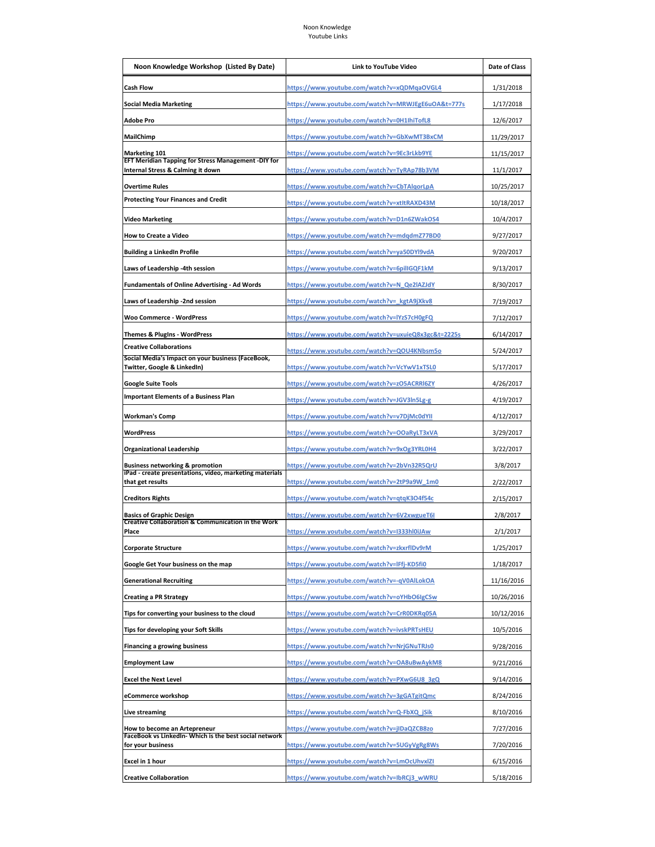| Noon Knowledge Workshop (Listed By Date)                                                 | Link to YouTube Video                               | Date of Class |
|------------------------------------------------------------------------------------------|-----------------------------------------------------|---------------|
| <b>Cash Flow</b>                                                                         | <u> https://www.youtube.com/watch?v=xQDMqaOVGL4</u> | 1/31/2018     |
| <b>Social Media Marketing</b>                                                            | https://www.youtube.com/watch?v=MRWJEgE6uOA&t=777s  | 1/17/2018     |
| Adobe Pro                                                                                | https://www.youtube.com/watch?v=0H1IhiTofL8         | 12/6/2017     |
| MailChimp                                                                                | https://www.youtube.com/watch?v=GbXwMT3BxCM         | 11/29/2017    |
| <b>Marketing 101</b>                                                                     | https://www.youtube.com/watch?v=9Ec3rLkb9YE         | 11/15/2017    |
| EFT Meridian Tapping for Stress Management -DIY for<br>Internal Stress & Calming it down | https://www.youtube.com/watch?v=TyRAp78b3VM         | 11/1/2017     |
| <b>Overtime Rules</b>                                                                    | https://www.youtube.com/watch?v=CbTAlqorLpA         | 10/25/2017    |
| <b>Protecting Your Finances and Credit</b>                                               | https://www.youtube.com/watch?v=xtltRAXD43M         | 10/18/2017    |
| <b>Video Marketing</b>                                                                   | https://www.youtube.com/watch?v=D1n6ZWakOS4         | 10/4/2017     |
| How to Create a Video                                                                    | https://www.youtube.com/watch?v=mdqdmZ77BD0         | 9/27/2017     |
| <b>Building a LinkedIn Profile</b>                                                       | https://www.youtube.com/watch?v=ya50DYl9vdA         | 9/20/2017     |
| Laws of Leadership -4th session                                                          | https://www.youtube.com/watch?v=6pilIGQF1kM         | 9/13/2017     |
| <b>Fundamentals of Online Advertising - Ad Words</b>                                     | https://www.youtube.com/watch?v=N_Qe2lAZJdY         | 8/30/2017     |
| Laws of Leadership -2nd session                                                          | https://www.youtube.com/watch?v=_kgtA9jXkv8         | 7/19/2017     |
| <b>Woo Commerce - WordPress</b>                                                          | https://www.youtube.com/watch?v=lYzS7cH0gFQ         | 7/12/2017     |
| Themes & PlugIns - WordPress                                                             | https://www.youtube.com/watch?v=uxuieQ8x3gc&t=2225s | 6/14/2017     |
| <b>Creative Collaborations</b>                                                           | https://www.youtube.com/watch?v=QOU4KNbsm5o         | 5/24/2017     |
| Social Media's Impact on your business (FaceBook,<br>Twitter, Google & LinkedIn)         | https://www.youtube.com/watch?v=VcYwV1xTSL0         | 5/17/2017     |
| <b>Google Suite Tools</b>                                                                | https://www.youtube.com/watch?v=zO5ACRRI6ZY         | 4/26/2017     |
| <b>Important Elements of a Business Plan</b>                                             | https://www.youtube.com/watch?v=JGV3In5Lg-g         | 4/19/2017     |
| <b>Workman's Comp</b>                                                                    | https://www.youtube.com/watch?v=v7DjMc0dYII         | 4/12/2017     |
| <b>WordPress</b>                                                                         | https://www.youtube.com/watch?v=OOaRyLT3xVA         | 3/29/2017     |
| <b>Organizational Leadership</b>                                                         | https://www.youtube.com/watch?v=9xOg3YRL0H4         | 3/22/2017     |
| <b>Business networking &amp; promotion</b>                                               | <u>https://www.youtube.com/watch?v=2bVn32R5QrU</u>  | 3/8/2017      |
| iPad - create presentations, video, marketing materials<br>that get results              | <u> https://www.youtube.com/watch?v=2tP9a9W_1m0</u> | 2/22/2017     |
| <b>Creditors Rights</b>                                                                  | <u> https://www.youtube.com/watch?v=qtqK3O4f54c</u> | 2/15/2017     |
| <b>Basics of Graphic Design</b>                                                          | https://www.youtube.com/watch?v=6V2xwgueT6I         | 2/8/2017      |
| <b>Creative Collaboration &amp; Communication in the Work</b><br>Place                   | https://www.youtube.com/watch?v=I333hl0iJAw         | 2/1/2017      |
| <b>Corporate Structure</b>                                                               | https://www.youtube.com/watch?v=zkxrfIDv9rM         | 1/25/2017     |
| Google Get Your business on the map                                                      | https://www.youtube.com/watch?v=IFfj-KD5fi0         | 1/18/2017     |
| <b>Generational Recruiting</b>                                                           | https://www.youtube.com/watch?v=-qV0AlLokOA         | 11/16/2016    |
| <b>Creating a PR Strategy</b>                                                            | https://www.youtube.com/watch?v=oYHbO6IgCSw         | 10/26/2016    |
| Tips for converting your business to the cloud                                           | https://www.youtube.com/watch?v=CrR0DKRq05A         | 10/12/2016    |
| Tips for developing your Soft Skills                                                     | https://www.youtube.com/watch?v=ivskPRTsHEU         | 10/5/2016     |
| <b>Financing a growing business</b>                                                      | https://www.youtube.com/watch?v=NrjGNuTRJs0         | 9/28/2016     |
| <b>Employment Law</b>                                                                    | https://www.youtube.com/watch?v=OA8uBwAykM8         | 9/21/2016     |
| <b>Excel the Next Level</b>                                                              | https://www.youtube.com/watch?v=PXwG6U8_3gQ         | 9/14/2016     |
| eCommerce workshop                                                                       | https://www.youtube.com/watch?v=3gGATgitQmc         | 8/24/2016     |
| <b>Live streaming</b>                                                                    | https://www.youtube.com/watch?v=Q-FbXQ_jSik         | 8/10/2016     |
| <b>How to become an Artepreneur</b>                                                      | https://www.youtube.com/watch?v=jIDaQZCB8zo         | 7/27/2016     |
| FaceBook vs LinkedIn- Which is the best social network<br>for your business              | https://www.youtube.com/watch?v=5UGyVgRg8Ws         | 7/20/2016     |
| Excel in 1 hour                                                                          | https://www.youtube.com/watch?v=LmOcUhvxlZI         | 6/15/2016     |
| <b>Creative Collaboration</b>                                                            | https://www.youtube.com/watch?v=IbRCj3_wWRU         | 5/18/2016     |